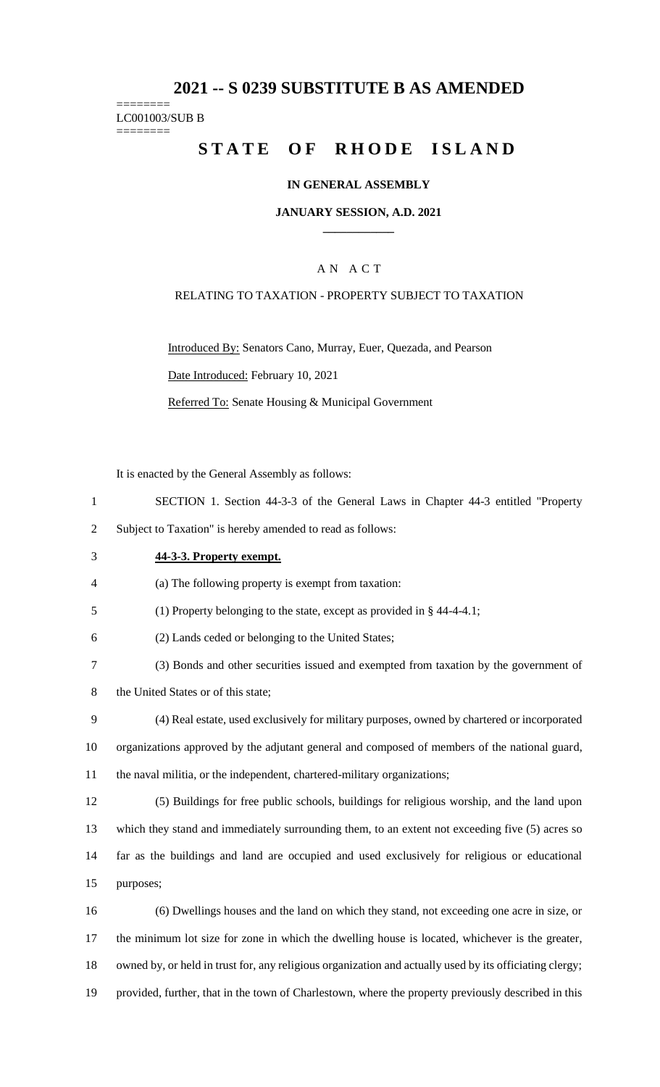# **2021 -- S 0239 SUBSTITUTE B AS AMENDED**

======== LC001003/SUB B ========

# **STATE OF RHODE ISLAND**

#### **IN GENERAL ASSEMBLY**

#### **JANUARY SESSION, A.D. 2021 \_\_\_\_\_\_\_\_\_\_\_\_**

### A N A C T

#### RELATING TO TAXATION - PROPERTY SUBJECT TO TAXATION

Introduced By: Senators Cano, Murray, Euer, Quezada, and Pearson Date Introduced: February 10, 2021 Referred To: Senate Housing & Municipal Government

It is enacted by the General Assembly as follows:

1 SECTION 1. Section 44-3-3 of the General Laws in Chapter 44-3 entitled "Property

2 Subject to Taxation" is hereby amended to read as follows:

#### 3 **44-3-3. Property exempt.**

4 (a) The following property is exempt from taxation:

5 (1) Property belonging to the state, except as provided in § 44-4-4.1;

- 6 (2) Lands ceded or belonging to the United States;
- 7 (3) Bonds and other securities issued and exempted from taxation by the government of

8 the United States or of this state;

- 9 (4) Real estate, used exclusively for military purposes, owned by chartered or incorporated 10 organizations approved by the adjutant general and composed of members of the national guard, 11 the naval militia, or the independent, chartered-military organizations;
- 12 (5) Buildings for free public schools, buildings for religious worship, and the land upon 13 which they stand and immediately surrounding them, to an extent not exceeding five (5) acres so 14 far as the buildings and land are occupied and used exclusively for religious or educational 15 purposes;
- 16 (6) Dwellings houses and the land on which they stand, not exceeding one acre in size, or 17 the minimum lot size for zone in which the dwelling house is located, whichever is the greater, 18 owned by, or held in trust for, any religious organization and actually used by its officiating clergy; 19 provided, further, that in the town of Charlestown, where the property previously described in this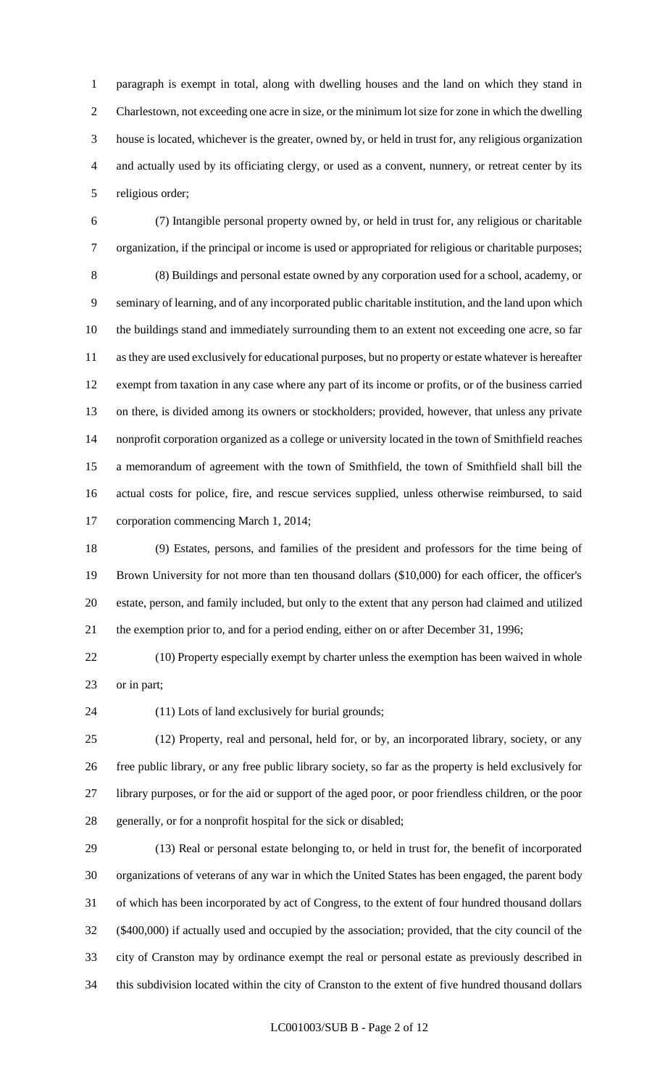paragraph is exempt in total, along with dwelling houses and the land on which they stand in Charlestown, not exceeding one acre in size, or the minimum lot size for zone in which the dwelling house is located, whichever is the greater, owned by, or held in trust for, any religious organization and actually used by its officiating clergy, or used as a convent, nunnery, or retreat center by its religious order;

 (7) Intangible personal property owned by, or held in trust for, any religious or charitable organization, if the principal or income is used or appropriated for religious or charitable purposes; (8) Buildings and personal estate owned by any corporation used for a school, academy, or seminary of learning, and of any incorporated public charitable institution, and the land upon which the buildings stand and immediately surrounding them to an extent not exceeding one acre, so far as they are used exclusively for educational purposes, but no property or estate whatever is hereafter exempt from taxation in any case where any part of its income or profits, or of the business carried on there, is divided among its owners or stockholders; provided, however, that unless any private nonprofit corporation organized as a college or university located in the town of Smithfield reaches a memorandum of agreement with the town of Smithfield, the town of Smithfield shall bill the actual costs for police, fire, and rescue services supplied, unless otherwise reimbursed, to said corporation commencing March 1, 2014;

 (9) Estates, persons, and families of the president and professors for the time being of Brown University for not more than ten thousand dollars (\$10,000) for each officer, the officer's estate, person, and family included, but only to the extent that any person had claimed and utilized the exemption prior to, and for a period ending, either on or after December 31, 1996;

 (10) Property especially exempt by charter unless the exemption has been waived in whole or in part;

(11) Lots of land exclusively for burial grounds;

 (12) Property, real and personal, held for, or by, an incorporated library, society, or any free public library, or any free public library society, so far as the property is held exclusively for library purposes, or for the aid or support of the aged poor, or poor friendless children, or the poor generally, or for a nonprofit hospital for the sick or disabled;

 (13) Real or personal estate belonging to, or held in trust for, the benefit of incorporated organizations of veterans of any war in which the United States has been engaged, the parent body of which has been incorporated by act of Congress, to the extent of four hundred thousand dollars (\$400,000) if actually used and occupied by the association; provided, that the city council of the city of Cranston may by ordinance exempt the real or personal estate as previously described in this subdivision located within the city of Cranston to the extent of five hundred thousand dollars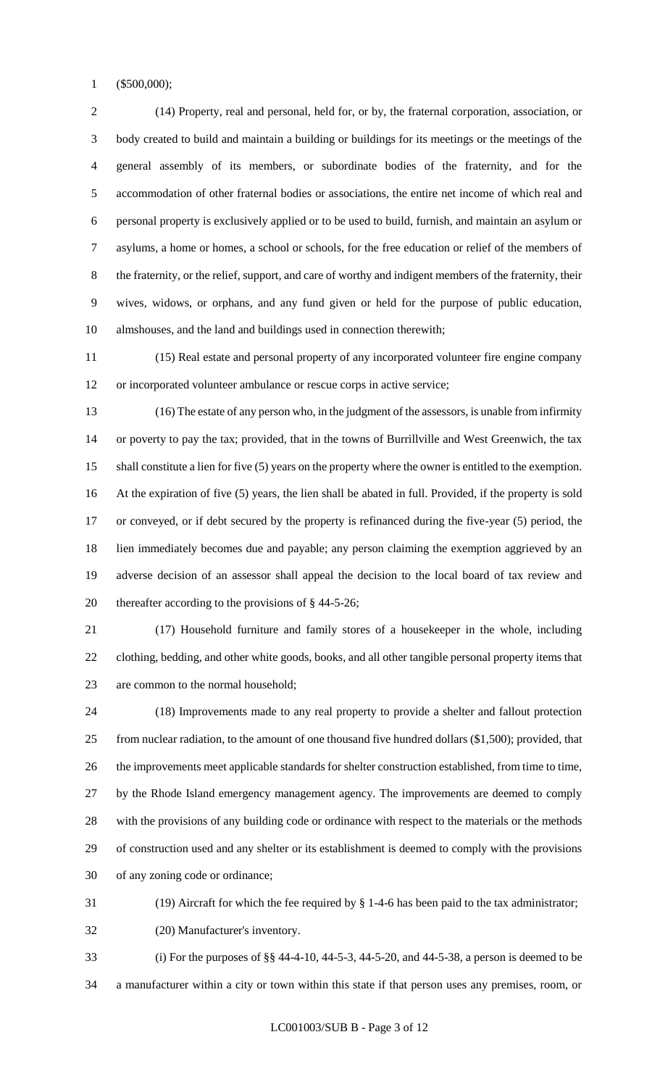(\$500,000);

 (14) Property, real and personal, held for, or by, the fraternal corporation, association, or body created to build and maintain a building or buildings for its meetings or the meetings of the general assembly of its members, or subordinate bodies of the fraternity, and for the accommodation of other fraternal bodies or associations, the entire net income of which real and personal property is exclusively applied or to be used to build, furnish, and maintain an asylum or asylums, a home or homes, a school or schools, for the free education or relief of the members of the fraternity, or the relief, support, and care of worthy and indigent members of the fraternity, their wives, widows, or orphans, and any fund given or held for the purpose of public education, almshouses, and the land and buildings used in connection therewith;

 (15) Real estate and personal property of any incorporated volunteer fire engine company or incorporated volunteer ambulance or rescue corps in active service;

 (16) The estate of any person who, in the judgment of the assessors, is unable from infirmity or poverty to pay the tax; provided, that in the towns of Burrillville and West Greenwich, the tax shall constitute a lien for five (5) years on the property where the owner is entitled to the exemption. At the expiration of five (5) years, the lien shall be abated in full. Provided, if the property is sold or conveyed, or if debt secured by the property is refinanced during the five-year (5) period, the lien immediately becomes due and payable; any person claiming the exemption aggrieved by an adverse decision of an assessor shall appeal the decision to the local board of tax review and thereafter according to the provisions of § 44-5-26;

 (17) Household furniture and family stores of a housekeeper in the whole, including clothing, bedding, and other white goods, books, and all other tangible personal property items that are common to the normal household;

 (18) Improvements made to any real property to provide a shelter and fallout protection from nuclear radiation, to the amount of one thousand five hundred dollars (\$1,500); provided, that the improvements meet applicable standards for shelter construction established, from time to time, by the Rhode Island emergency management agency. The improvements are deemed to comply with the provisions of any building code or ordinance with respect to the materials or the methods of construction used and any shelter or its establishment is deemed to comply with the provisions of any zoning code or ordinance;

(19) Aircraft for which the fee required by § 1-4-6 has been paid to the tax administrator;

(20) Manufacturer's inventory.

 (i) For the purposes of §§ 44-4-10, 44-5-3, 44-5-20, and 44-5-38, a person is deemed to be a manufacturer within a city or town within this state if that person uses any premises, room, or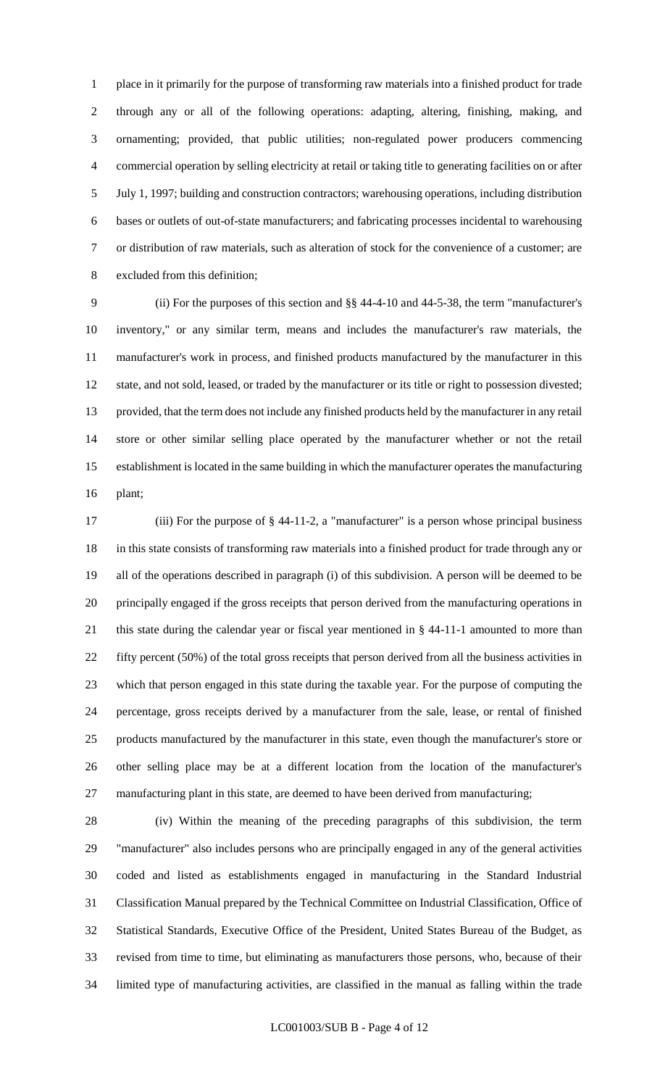place in it primarily for the purpose of transforming raw materials into a finished product for trade through any or all of the following operations: adapting, altering, finishing, making, and ornamenting; provided, that public utilities; non-regulated power producers commencing commercial operation by selling electricity at retail or taking title to generating facilities on or after July 1, 1997; building and construction contractors; warehousing operations, including distribution bases or outlets of out-of-state manufacturers; and fabricating processes incidental to warehousing or distribution of raw materials, such as alteration of stock for the convenience of a customer; are excluded from this definition;

 (ii) For the purposes of this section and §§ 44-4-10 and 44-5-38, the term "manufacturer's inventory," or any similar term, means and includes the manufacturer's raw materials, the manufacturer's work in process, and finished products manufactured by the manufacturer in this state, and not sold, leased, or traded by the manufacturer or its title or right to possession divested; provided, that the term does not include any finished products held by the manufacturer in any retail store or other similar selling place operated by the manufacturer whether or not the retail establishment is located in the same building in which the manufacturer operates the manufacturing plant;

 (iii) For the purpose of § 44-11-2, a "manufacturer" is a person whose principal business in this state consists of transforming raw materials into a finished product for trade through any or all of the operations described in paragraph (i) of this subdivision. A person will be deemed to be principally engaged if the gross receipts that person derived from the manufacturing operations in this state during the calendar year or fiscal year mentioned in § 44-11-1 amounted to more than fifty percent (50%) of the total gross receipts that person derived from all the business activities in which that person engaged in this state during the taxable year. For the purpose of computing the percentage, gross receipts derived by a manufacturer from the sale, lease, or rental of finished products manufactured by the manufacturer in this state, even though the manufacturer's store or other selling place may be at a different location from the location of the manufacturer's manufacturing plant in this state, are deemed to have been derived from manufacturing;

 (iv) Within the meaning of the preceding paragraphs of this subdivision, the term "manufacturer" also includes persons who are principally engaged in any of the general activities coded and listed as establishments engaged in manufacturing in the Standard Industrial Classification Manual prepared by the Technical Committee on Industrial Classification, Office of Statistical Standards, Executive Office of the President, United States Bureau of the Budget, as revised from time to time, but eliminating as manufacturers those persons, who, because of their limited type of manufacturing activities, are classified in the manual as falling within the trade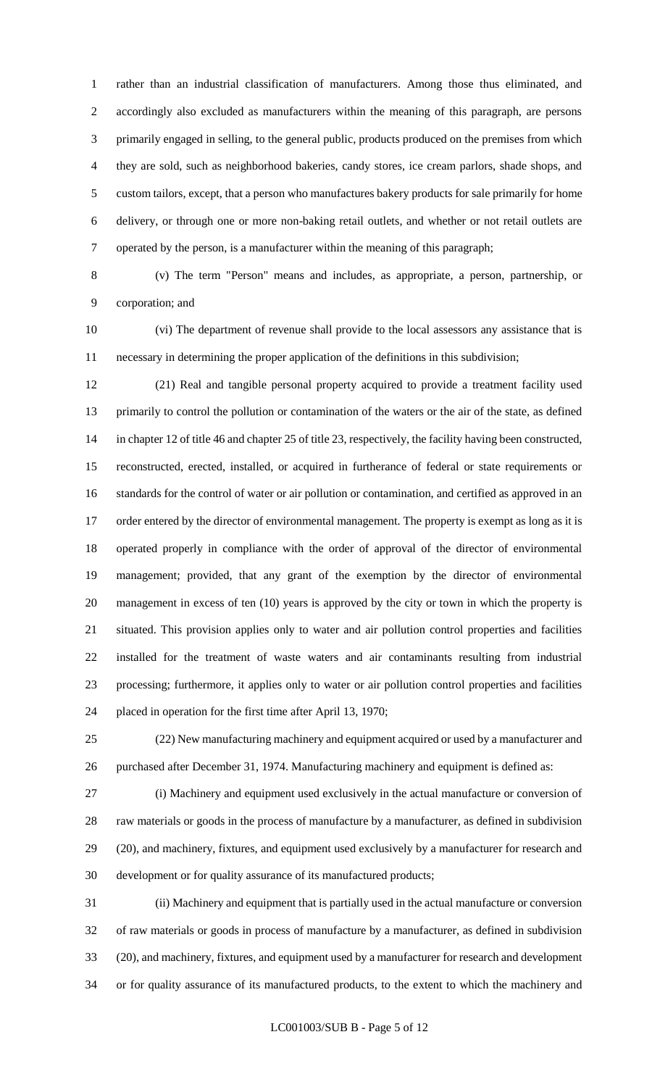rather than an industrial classification of manufacturers. Among those thus eliminated, and accordingly also excluded as manufacturers within the meaning of this paragraph, are persons primarily engaged in selling, to the general public, products produced on the premises from which they are sold, such as neighborhood bakeries, candy stores, ice cream parlors, shade shops, and custom tailors, except, that a person who manufactures bakery products for sale primarily for home delivery, or through one or more non-baking retail outlets, and whether or not retail outlets are operated by the person, is a manufacturer within the meaning of this paragraph;

 (v) The term "Person" means and includes, as appropriate, a person, partnership, or corporation; and

 (vi) The department of revenue shall provide to the local assessors any assistance that is necessary in determining the proper application of the definitions in this subdivision;

 (21) Real and tangible personal property acquired to provide a treatment facility used primarily to control the pollution or contamination of the waters or the air of the state, as defined in chapter 12 of title 46 and chapter 25 of title 23, respectively, the facility having been constructed, reconstructed, erected, installed, or acquired in furtherance of federal or state requirements or standards for the control of water or air pollution or contamination, and certified as approved in an 17 order entered by the director of environmental management. The property is exempt as long as it is operated properly in compliance with the order of approval of the director of environmental management; provided, that any grant of the exemption by the director of environmental management in excess of ten (10) years is approved by the city or town in which the property is situated. This provision applies only to water and air pollution control properties and facilities installed for the treatment of waste waters and air contaminants resulting from industrial processing; furthermore, it applies only to water or air pollution control properties and facilities placed in operation for the first time after April 13, 1970;

 (22) New manufacturing machinery and equipment acquired or used by a manufacturer and purchased after December 31, 1974. Manufacturing machinery and equipment is defined as:

 (i) Machinery and equipment used exclusively in the actual manufacture or conversion of raw materials or goods in the process of manufacture by a manufacturer, as defined in subdivision (20), and machinery, fixtures, and equipment used exclusively by a manufacturer for research and development or for quality assurance of its manufactured products;

 (ii) Machinery and equipment that is partially used in the actual manufacture or conversion of raw materials or goods in process of manufacture by a manufacturer, as defined in subdivision (20), and machinery, fixtures, and equipment used by a manufacturer for research and development or for quality assurance of its manufactured products, to the extent to which the machinery and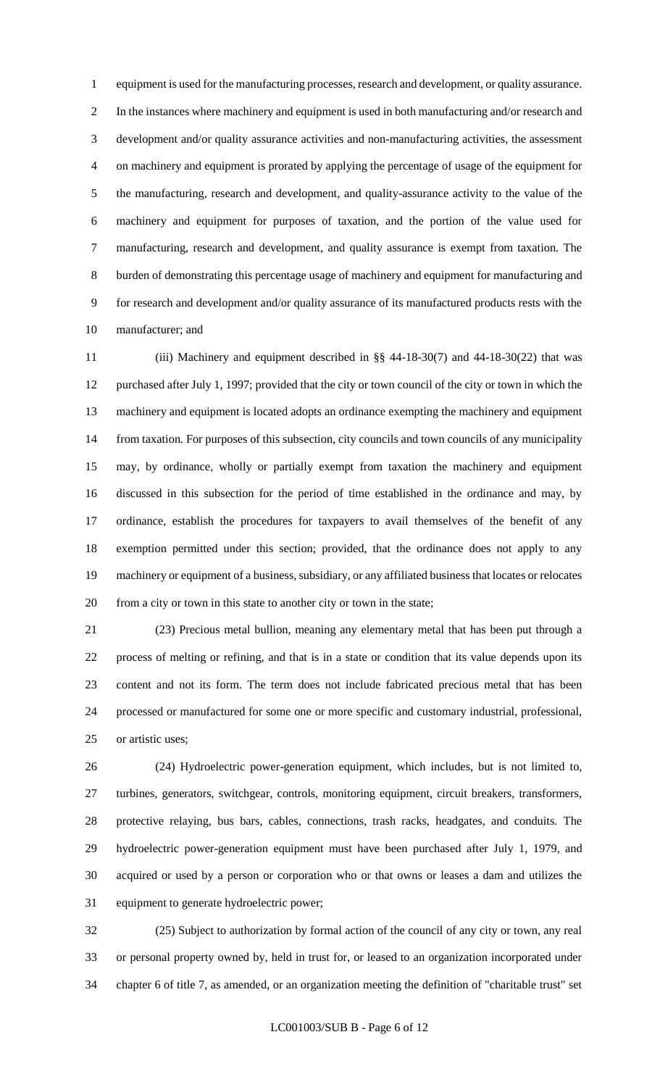equipment is used for the manufacturing processes, research and development, or quality assurance. In the instances where machinery and equipment is used in both manufacturing and/or research and development and/or quality assurance activities and non-manufacturing activities, the assessment on machinery and equipment is prorated by applying the percentage of usage of the equipment for the manufacturing, research and development, and quality-assurance activity to the value of the machinery and equipment for purposes of taxation, and the portion of the value used for manufacturing, research and development, and quality assurance is exempt from taxation. The burden of demonstrating this percentage usage of machinery and equipment for manufacturing and for research and development and/or quality assurance of its manufactured products rests with the manufacturer; and

 (iii) Machinery and equipment described in §§ 44-18-30(7) and 44-18-30(22) that was purchased after July 1, 1997; provided that the city or town council of the city or town in which the machinery and equipment is located adopts an ordinance exempting the machinery and equipment from taxation. For purposes of this subsection, city councils and town councils of any municipality may, by ordinance, wholly or partially exempt from taxation the machinery and equipment discussed in this subsection for the period of time established in the ordinance and may, by ordinance, establish the procedures for taxpayers to avail themselves of the benefit of any exemption permitted under this section; provided, that the ordinance does not apply to any machinery or equipment of a business, subsidiary, or any affiliated business that locates or relocates 20 from a city or town in this state to another city or town in the state;

 (23) Precious metal bullion, meaning any elementary metal that has been put through a process of melting or refining, and that is in a state or condition that its value depends upon its content and not its form. The term does not include fabricated precious metal that has been processed or manufactured for some one or more specific and customary industrial, professional, or artistic uses;

 (24) Hydroelectric power-generation equipment, which includes, but is not limited to, turbines, generators, switchgear, controls, monitoring equipment, circuit breakers, transformers, protective relaying, bus bars, cables, connections, trash racks, headgates, and conduits. The hydroelectric power-generation equipment must have been purchased after July 1, 1979, and acquired or used by a person or corporation who or that owns or leases a dam and utilizes the equipment to generate hydroelectric power;

 (25) Subject to authorization by formal action of the council of any city or town, any real or personal property owned by, held in trust for, or leased to an organization incorporated under chapter 6 of title 7, as amended, or an organization meeting the definition of "charitable trust" set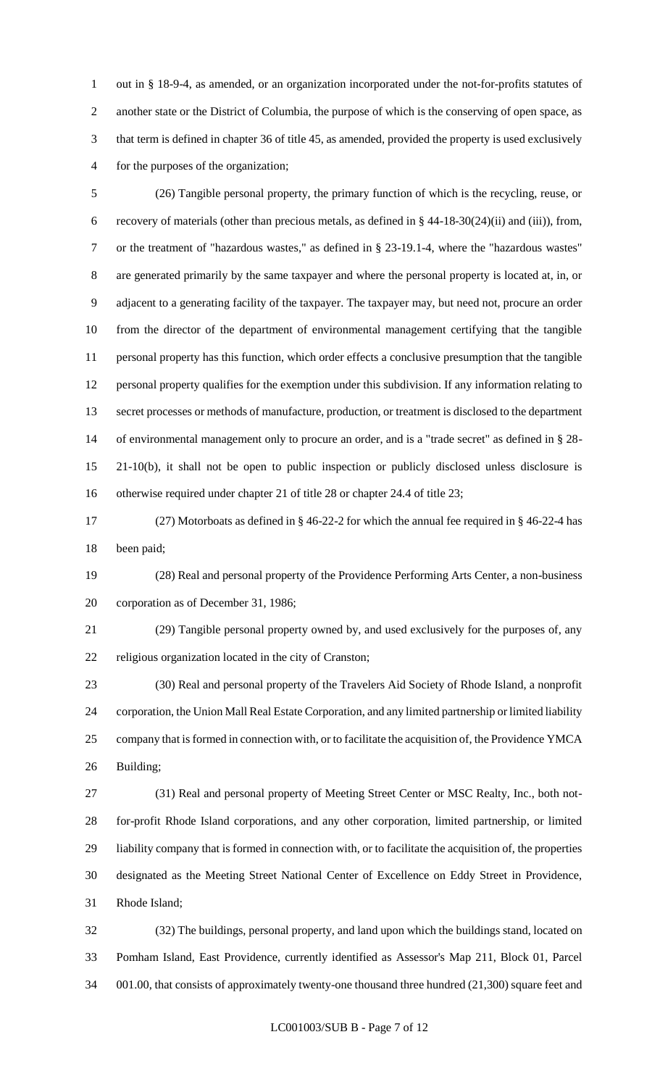out in § 18-9-4, as amended, or an organization incorporated under the not-for-profits statutes of another state or the District of Columbia, the purpose of which is the conserving of open space, as that term is defined in chapter 36 of title 45, as amended, provided the property is used exclusively for the purposes of the organization;

 (26) Tangible personal property, the primary function of which is the recycling, reuse, or recovery of materials (other than precious metals, as defined in § 44-18-30(24)(ii) and (iii)), from, or the treatment of "hazardous wastes," as defined in § 23-19.1-4, where the "hazardous wastes" are generated primarily by the same taxpayer and where the personal property is located at, in, or adjacent to a generating facility of the taxpayer. The taxpayer may, but need not, procure an order from the director of the department of environmental management certifying that the tangible personal property has this function, which order effects a conclusive presumption that the tangible personal property qualifies for the exemption under this subdivision. If any information relating to secret processes or methods of manufacture, production, or treatment is disclosed to the department of environmental management only to procure an order, and is a "trade secret" as defined in § 28- 21-10(b), it shall not be open to public inspection or publicly disclosed unless disclosure is otherwise required under chapter 21 of title 28 or chapter 24.4 of title 23;

 (27) Motorboats as defined in § 46-22-2 for which the annual fee required in § 46-22-4 has been paid;

 (28) Real and personal property of the Providence Performing Arts Center, a non-business corporation as of December 31, 1986;

 (29) Tangible personal property owned by, and used exclusively for the purposes of, any religious organization located in the city of Cranston;

 (30) Real and personal property of the Travelers Aid Society of Rhode Island, a nonprofit corporation, the Union Mall Real Estate Corporation, and any limited partnership or limited liability company that is formed in connection with, or to facilitate the acquisition of, the Providence YMCA Building;

 (31) Real and personal property of Meeting Street Center or MSC Realty, Inc., both not- for-profit Rhode Island corporations, and any other corporation, limited partnership, or limited liability company that is formed in connection with, or to facilitate the acquisition of, the properties designated as the Meeting Street National Center of Excellence on Eddy Street in Providence, Rhode Island;

 (32) The buildings, personal property, and land upon which the buildings stand, located on Pomham Island, East Providence, currently identified as Assessor's Map 211, Block 01, Parcel 001.00, that consists of approximately twenty-one thousand three hundred (21,300) square feet and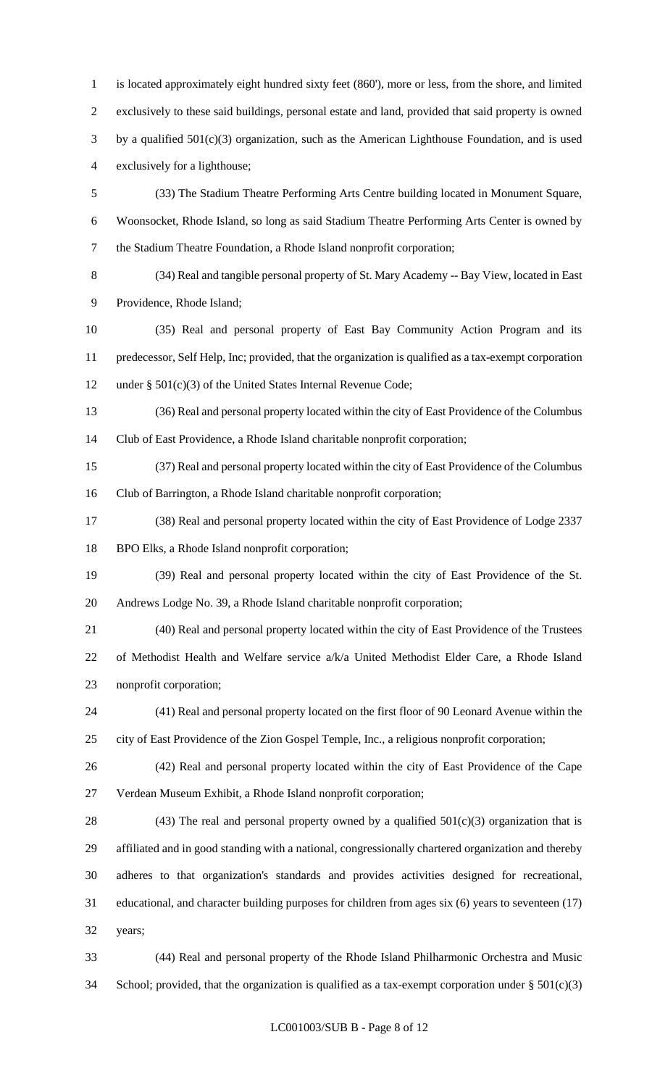is located approximately eight hundred sixty feet (860'), more or less, from the shore, and limited exclusively to these said buildings, personal estate and land, provided that said property is owned by a qualified 501(c)(3) organization, such as the American Lighthouse Foundation, and is used exclusively for a lighthouse; (33) The Stadium Theatre Performing Arts Centre building located in Monument Square, Woonsocket, Rhode Island, so long as said Stadium Theatre Performing Arts Center is owned by the Stadium Theatre Foundation, a Rhode Island nonprofit corporation;

 (34) Real and tangible personal property of St. Mary Academy -- Bay View, located in East Providence, Rhode Island;

 (35) Real and personal property of East Bay Community Action Program and its predecessor, Self Help, Inc; provided, that the organization is qualified as a tax-exempt corporation under § 501(c)(3) of the United States Internal Revenue Code;

 (36) Real and personal property located within the city of East Providence of the Columbus Club of East Providence, a Rhode Island charitable nonprofit corporation;

 (37) Real and personal property located within the city of East Providence of the Columbus Club of Barrington, a Rhode Island charitable nonprofit corporation;

 (38) Real and personal property located within the city of East Providence of Lodge 2337 BPO Elks, a Rhode Island nonprofit corporation;

 (39) Real and personal property located within the city of East Providence of the St. Andrews Lodge No. 39, a Rhode Island charitable nonprofit corporation;

 (40) Real and personal property located within the city of East Providence of the Trustees of Methodist Health and Welfare service a/k/a United Methodist Elder Care, a Rhode Island nonprofit corporation;

 (41) Real and personal property located on the first floor of 90 Leonard Avenue within the city of East Providence of the Zion Gospel Temple, Inc., a religious nonprofit corporation;

 (42) Real and personal property located within the city of East Providence of the Cape Verdean Museum Exhibit, a Rhode Island nonprofit corporation;

28 (43) The real and personal property owned by a qualified  $501(c)(3)$  organization that is affiliated and in good standing with a national, congressionally chartered organization and thereby adheres to that organization's standards and provides activities designed for recreational, educational, and character building purposes for children from ages six (6) years to seventeen (17) years;

 (44) Real and personal property of the Rhode Island Philharmonic Orchestra and Music 34 School; provided, that the organization is qualified as a tax-exempt corporation under  $\S 501(c)(3)$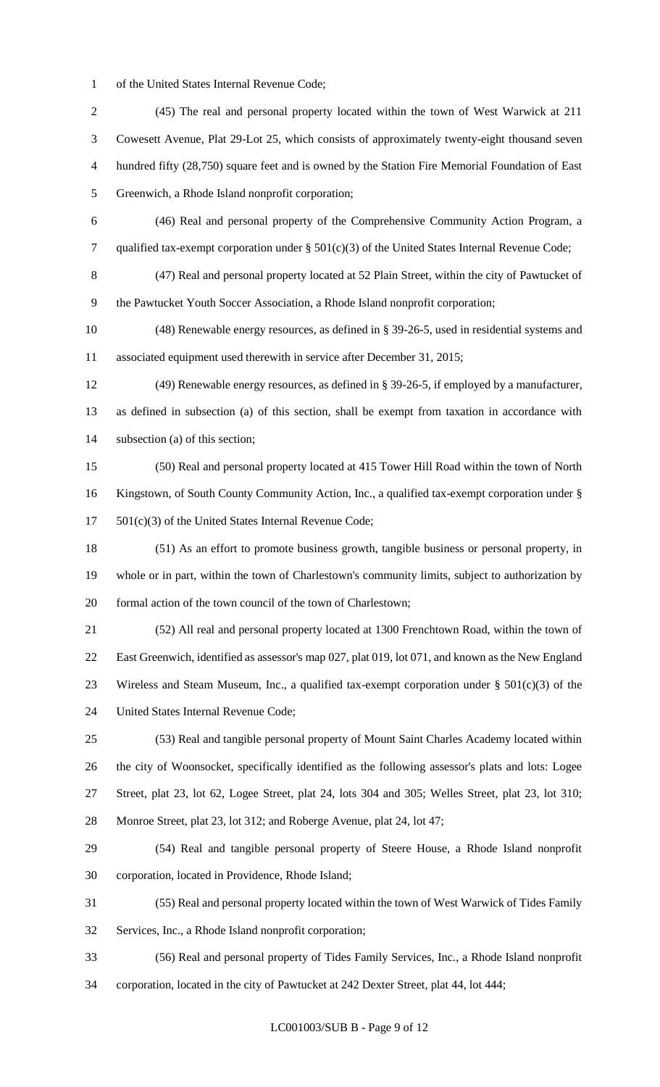of the United States Internal Revenue Code;

 (45) The real and personal property located within the town of West Warwick at 211 Cowesett Avenue, Plat 29-Lot 25, which consists of approximately twenty-eight thousand seven hundred fifty (28,750) square feet and is owned by the Station Fire Memorial Foundation of East Greenwich, a Rhode Island nonprofit corporation; (46) Real and personal property of the Comprehensive Community Action Program, a qualified tax-exempt corporation under § 501(c)(3) of the United States Internal Revenue Code; (47) Real and personal property located at 52 Plain Street, within the city of Pawtucket of the Pawtucket Youth Soccer Association, a Rhode Island nonprofit corporation; (48) Renewable energy resources, as defined in § 39-26-5, used in residential systems and associated equipment used therewith in service after December 31, 2015; (49) Renewable energy resources, as defined in § 39-26-5, if employed by a manufacturer, as defined in subsection (a) of this section, shall be exempt from taxation in accordance with subsection (a) of this section; (50) Real and personal property located at 415 Tower Hill Road within the town of North Kingstown, of South County Community Action, Inc., a qualified tax-exempt corporation under § 501(c)(3) of the United States Internal Revenue Code; (51) As an effort to promote business growth, tangible business or personal property, in whole or in part, within the town of Charlestown's community limits, subject to authorization by formal action of the town council of the town of Charlestown; (52) All real and personal property located at 1300 Frenchtown Road, within the town of East Greenwich, identified as assessor's map 027, plat 019, lot 071, and known as the New England 23 Wireless and Steam Museum, Inc., a qualified tax-exempt corporation under  $\S$  501(c)(3) of the United States Internal Revenue Code; (53) Real and tangible personal property of Mount Saint Charles Academy located within the city of Woonsocket, specifically identified as the following assessor's plats and lots: Logee Street, plat 23, lot 62, Logee Street, plat 24, lots 304 and 305; Welles Street, plat 23, lot 310; Monroe Street, plat 23, lot 312; and Roberge Avenue, plat 24, lot 47; (54) Real and tangible personal property of Steere House, a Rhode Island nonprofit corporation, located in Providence, Rhode Island; (55) Real and personal property located within the town of West Warwick of Tides Family Services, Inc., a Rhode Island nonprofit corporation; (56) Real and personal property of Tides Family Services, Inc., a Rhode Island nonprofit corporation, located in the city of Pawtucket at 242 Dexter Street, plat 44, lot 444;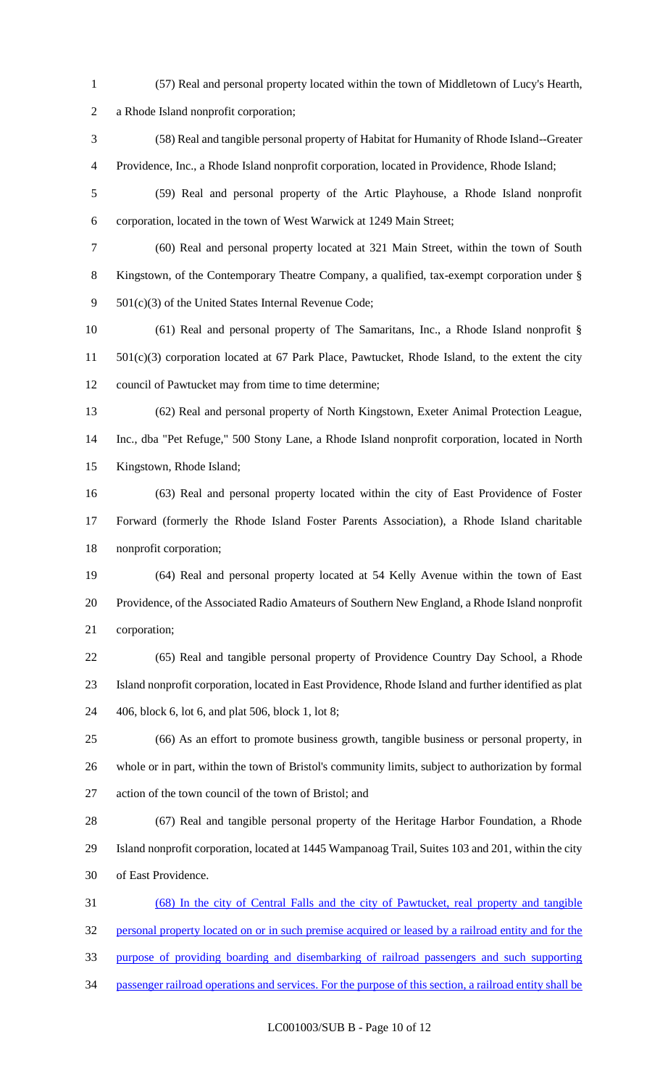(57) Real and personal property located within the town of Middletown of Lucy's Hearth, a Rhode Island nonprofit corporation; (58) Real and tangible personal property of Habitat for Humanity of Rhode Island--Greater Providence, Inc., a Rhode Island nonprofit corporation, located in Providence, Rhode Island; (59) Real and personal property of the Artic Playhouse, a Rhode Island nonprofit corporation, located in the town of West Warwick at 1249 Main Street; (60) Real and personal property located at 321 Main Street, within the town of South Kingstown, of the Contemporary Theatre Company, a qualified, tax-exempt corporation under § 9 501(c)(3) of the United States Internal Revenue Code; (61) Real and personal property of The Samaritans, Inc., a Rhode Island nonprofit § 501(c)(3) corporation located at 67 Park Place, Pawtucket, Rhode Island, to the extent the city council of Pawtucket may from time to time determine; (62) Real and personal property of North Kingstown, Exeter Animal Protection League, Inc., dba "Pet Refuge," 500 Stony Lane, a Rhode Island nonprofit corporation, located in North Kingstown, Rhode Island; (63) Real and personal property located within the city of East Providence of Foster Forward (formerly the Rhode Island Foster Parents Association), a Rhode Island charitable nonprofit corporation; (64) Real and personal property located at 54 Kelly Avenue within the town of East Providence, of the Associated Radio Amateurs of Southern New England, a Rhode Island nonprofit corporation; (65) Real and tangible personal property of Providence Country Day School, a Rhode Island nonprofit corporation, located in East Providence, Rhode Island and further identified as plat 406, block 6, lot 6, and plat 506, block 1, lot 8; (66) As an effort to promote business growth, tangible business or personal property, in whole or in part, within the town of Bristol's community limits, subject to authorization by formal action of the town council of the town of Bristol; and (67) Real and tangible personal property of the Heritage Harbor Foundation, a Rhode Island nonprofit corporation, located at 1445 Wampanoag Trail, Suites 103 and 201, within the city of East Providence. (68) In the city of Central Falls and the city of Pawtucket, real property and tangible personal property located on or in such premise acquired or leased by a railroad entity and for the purpose of providing boarding and disembarking of railroad passengers and such supporting passenger railroad operations and services. For the purpose of this section, a railroad entity shall be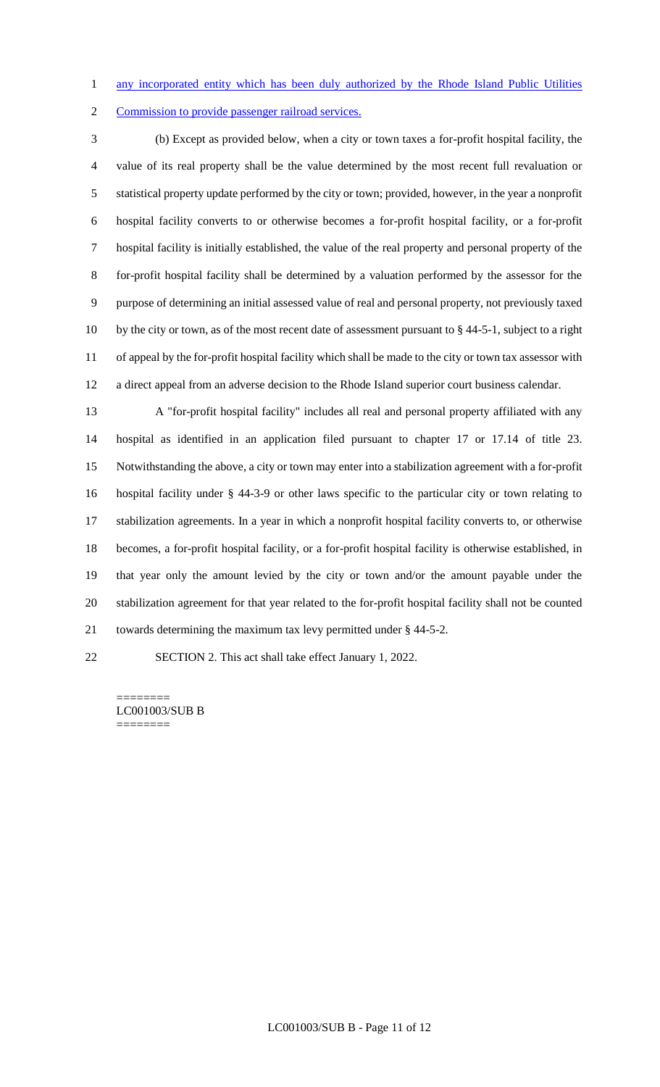1 any incorporated entity which has been duly authorized by the Rhode Island Public Utilities

Commission to provide passenger railroad services.

 (b) Except as provided below, when a city or town taxes a for-profit hospital facility, the value of its real property shall be the value determined by the most recent full revaluation or statistical property update performed by the city or town; provided, however, in the year a nonprofit hospital facility converts to or otherwise becomes a for-profit hospital facility, or a for-profit hospital facility is initially established, the value of the real property and personal property of the for-profit hospital facility shall be determined by a valuation performed by the assessor for the purpose of determining an initial assessed value of real and personal property, not previously taxed by the city or town, as of the most recent date of assessment pursuant to § 44-5-1, subject to a right of appeal by the for-profit hospital facility which shall be made to the city or town tax assessor with a direct appeal from an adverse decision to the Rhode Island superior court business calendar.

 A "for-profit hospital facility" includes all real and personal property affiliated with any hospital as identified in an application filed pursuant to chapter 17 or 17.14 of title 23. Notwithstanding the above, a city or town may enter into a stabilization agreement with a for-profit hospital facility under § 44-3-9 or other laws specific to the particular city or town relating to stabilization agreements. In a year in which a nonprofit hospital facility converts to, or otherwise becomes, a for-profit hospital facility, or a for-profit hospital facility is otherwise established, in that year only the amount levied by the city or town and/or the amount payable under the stabilization agreement for that year related to the for-profit hospital facility shall not be counted towards determining the maximum tax levy permitted under § 44-5-2.

SECTION 2. This act shall take effect January 1, 2022.

======== LC001003/SUB B ========